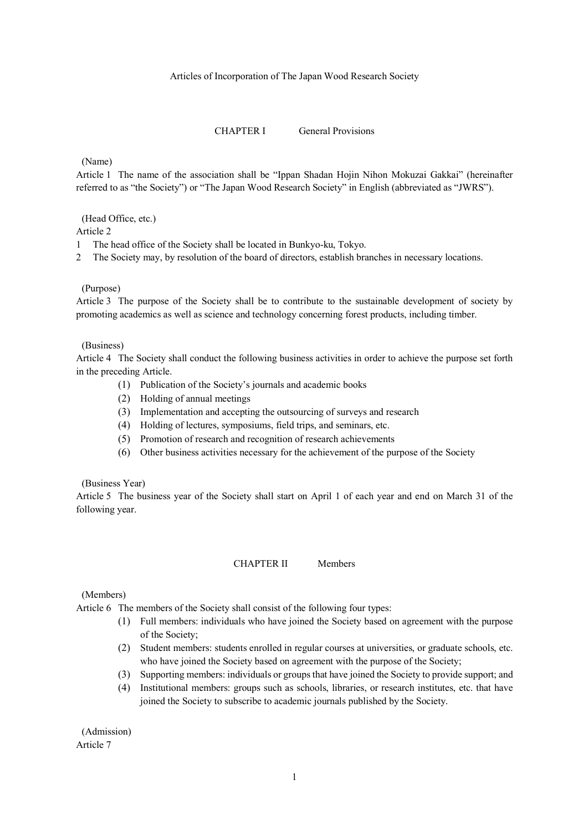#### Articles of Incorporation of The Japan Wood Research Society

#### CHAPTER I General Provisions

(Name)

Article 1 The name of the association shall be "Ippan Shadan Hojin Nihon Mokuzai Gakkai" (hereinafter referred to as "the Society") or "The Japan Wood Research Society" in English (abbreviated as "JWRS").

(Head Office, etc.)

Article 2

1 The head office of the Society shall be located in Bunkyo-ku, Tokyo.

2 The Society may, by resolution of the board of directors, establish branches in necessary locations.

#### (Purpose)

Article 3 The purpose of the Society shall be to contribute to the sustainable development of society by promoting academics as well as science and technology concerning forest products, including timber.

#### (Business)

Article 4 The Society shall conduct the following business activities in order to achieve the purpose set forth in the preceding Article.

- (1) Publication of the Society's journals and academic books
- (2) Holding of annual meetings
- (3) Implementation and accepting the outsourcing of surveys and research
- (4) Holding of lectures, symposiums, field trips, and seminars, etc.
- (5) Promotion of research and recognition of research achievements
- (6) Other business activities necessary for the achievement of the purpose of the Society

#### (Business Year)

Article 5 The business year of the Society shall start on April 1 of each year and end on March 31 of the following year.

CHAPTER II Members

(Members)

Article 6 The members of the Society shall consist of the following four types:

- (1) Full members: individuals who have joined the Society based on agreement with the purpose of the Society;
- (2) Student members: students enrolled in regular courses at universities, or graduate schools, etc. who have joined the Society based on agreement with the purpose of the Society;
- (3) Supporting members: individuals or groups that have joined the Society to provide support; and
- (4) Institutional members: groups such as schools, libraries, or research institutes, etc. that have joined the Society to subscribe to academic journals published by the Society.

(Admission) Article 7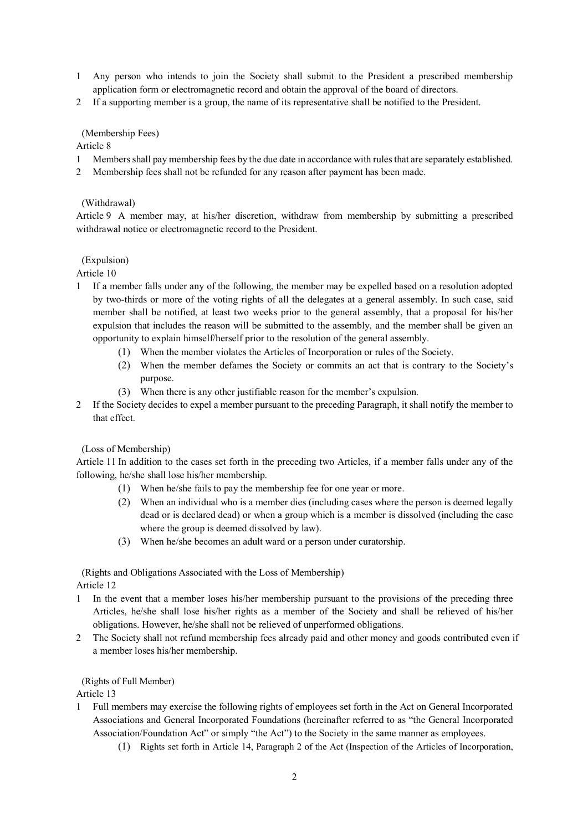- 1 Any person who intends to join the Society shall submit to the President a prescribed membership application form or electromagnetic record and obtain the approval of the board of directors.
- 2 If a supporting member is a group, the name of its representative shall be notified to the President.

# (Membership Fees)

Article 8

- 1 Members shall pay membership fees by the due date in accordance with rules that are separately established.
- 2 Membership fees shall not be refunded for any reason after payment has been made.

# (Withdrawal)

Article 9 A member may, at his/her discretion, withdraw from membership by submitting a prescribed withdrawal notice or electromagnetic record to the President.

# (Expulsion)

- Article 10
- 1 If a member falls under any of the following, the member may be expelled based on a resolution adopted by two-thirds or more of the voting rights of all the delegates at a general assembly. In such case, said member shall be notified, at least two weeks prior to the general assembly, that a proposal for his/her expulsion that includes the reason will be submitted to the assembly, and the member shall be given an opportunity to explain himself/herself prior to the resolution of the general assembly.
	- (1) When the member violates the Articles of Incorporation or rules of the Society.
	- (2) When the member defames the Society or commits an act that is contrary to the Society's purpose.
	- (3) When there is any other justifiable reason for the member's expulsion.
- 2 If the Society decides to expel a member pursuant to the preceding Paragraph, it shall notify the member to that effect.

(Loss of Membership)

Article 11 In addition to the cases set forth in the preceding two Articles, if a member falls under any of the following, he/she shall lose his/her membership.

- (1) When he/she fails to pay the membership fee for one year or more.
- (2) When an individual who is a member dies (including cases where the person is deemed legally dead or is declared dead) or when a group which is a member is dissolved (including the case where the group is deemed dissolved by law).
- (3) When he/she becomes an adult ward or a person under curatorship.

(Rights and Obligations Associated with the Loss of Membership) Article 12

- 1 In the event that a member loses his/her membership pursuant to the provisions of the preceding three Articles, he/she shall lose his/her rights as a member of the Society and shall be relieved of his/her obligations. However, he/she shall not be relieved of unperformed obligations.
- 2 The Society shall not refund membership fees already paid and other money and goods contributed even if a member loses his/her membership.

# (Rights of Full Member)

- 1 Full members may exercise the following rights of employees set forth in the Act on General Incorporated Associations and General Incorporated Foundations (hereinafter referred to as "the General Incorporated Association/Foundation Act" or simply "the Act") to the Society in the same manner as employees.
	- (1) Rights set forth in Article 14, Paragraph 2 of the Act (Inspection of the Articles of Incorporation,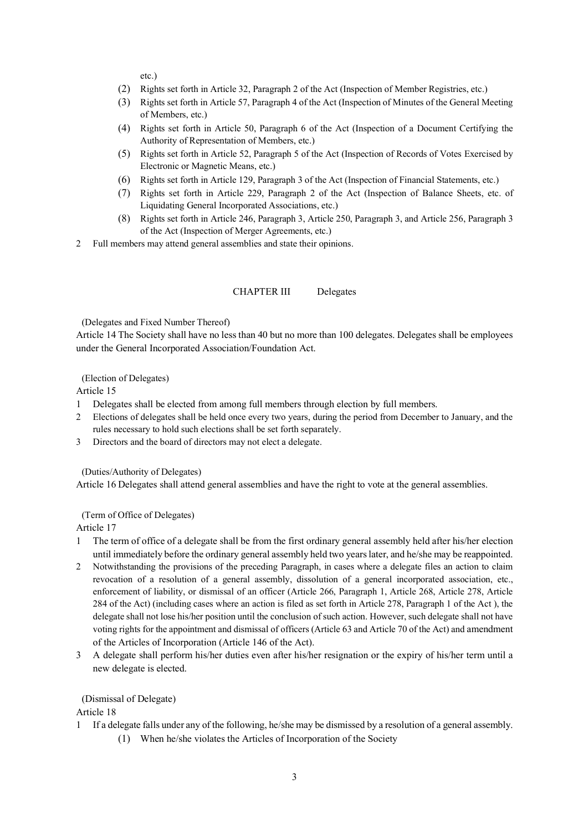etc.)

- (2) Rights set forth in Article 32, Paragraph 2 of the Act (Inspection of Member Registries, etc.)
- (3) Rights set forth in Article 57, Paragraph 4 of the Act (Inspection of Minutes of the General Meeting of Members, etc.)
- (4) Rights set forth in Article 50, Paragraph 6 of the Act (Inspection of a Document Certifying the Authority of Representation of Members, etc.)
- (5) Rights set forth in Article 52, Paragraph 5 of the Act (Inspection of Records of Votes Exercised by Electronic or Magnetic Means, etc.)
- (6) Rights set forth in Article 129, Paragraph 3 of the Act (Inspection of Financial Statements, etc.)
- (7) Rights set forth in Article 229, Paragraph 2 of the Act (Inspection of Balance Sheets, etc. of Liquidating General Incorporated Associations, etc.)
- (8) Rights set forth in Article 246, Paragraph 3, Article 250, Paragraph 3, and Article 256, Paragraph 3 of the Act (Inspection of Merger Agreements, etc.)
- 2 Full members may attend general assemblies and state their opinions.

### CHAPTER III Delegates

(Delegates and Fixed Number Thereof)

Article 14 The Society shall have no less than 40 but no more than 100 delegates. Delegates shall be employees under the General Incorporated Association/Foundation Act.

(Election of Delegates)

Article 15

- 1 Delegates shall be elected from among full members through election by full members.
- 2 Elections of delegates shall be held once every two years, during the period from December to January, and the rules necessary to hold such elections shall be set forth separately.
- 3 Directors and the board of directors may not elect a delegate.

(Duties/Authority of Delegates)

Article 16 Delegates shall attend general assemblies and have the right to vote at the general assemblies.

(Term of Office of Delegates)

Article 17

- 1 The term of office of a delegate shall be from the first ordinary general assembly held after his/her election until immediately before the ordinary general assembly held two years later, and he/she may be reappointed.
- 2 Notwithstanding the provisions of the preceding Paragraph, in cases where a delegate files an action to claim revocation of a resolution of a general assembly, dissolution of a general incorporated association, etc., enforcement of liability, or dismissal of an officer (Article 266, Paragraph 1, Article 268, Article 278, Article 284 of the Act) (including cases where an action is filed as set forth in Article 278, Paragraph 1 of the Act ), the delegate shall not lose his/her position until the conclusion of such action. However, such delegate shall not have voting rights for the appointment and dismissal of officers (Article 63 and Article 70 of the Act) and amendment of the Articles of Incorporation (Article 146 of the Act).
- 3 A delegate shall perform his/her duties even after his/her resignation or the expiry of his/her term until a new delegate is elected.

#### (Dismissal of Delegate)

- 1 If a delegate falls under any of the following, he/she may be dismissed by a resolution of a general assembly.
	- (1) When he/she violates the Articles of Incorporation of the Society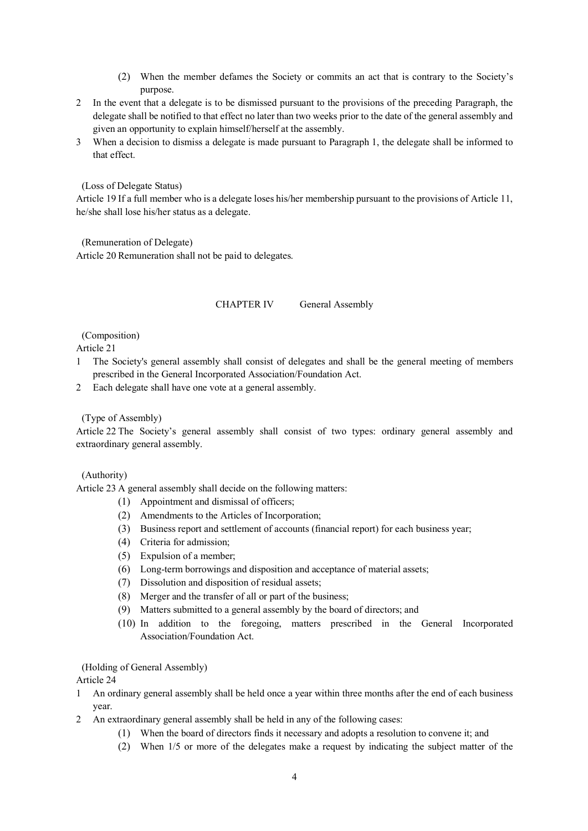- (2) When the member defames the Society or commits an act that is contrary to the Society's purpose.
- 2 In the event that a delegate is to be dismissed pursuant to the provisions of the preceding Paragraph, the delegate shall be notified to that effect no later than two weeks prior to the date of the general assembly and given an opportunity to explain himself/herself at the assembly.
- 3 When a decision to dismiss a delegate is made pursuant to Paragraph 1, the delegate shall be informed to that effect.

(Loss of Delegate Status)

Article 19 If a full member who is a delegate loses his/her membership pursuant to the provisions of Article 11, he/she shall lose his/her status as a delegate.

(Remuneration of Delegate) Article 20 Remuneration shall not be paid to delegates.

## CHAPTER IV General Assembly

(Composition)

Article 21

- 1 The Society's general assembly shall consist of delegates and shall be the general meeting of members prescribed in the General Incorporated Association/Foundation Act.
- 2 Each delegate shall have one vote at a general assembly.

(Type of Assembly)

Article 22 The Society's general assembly shall consist of two types: ordinary general assembly and extraordinary general assembly.

(Authority)

Article 23 A general assembly shall decide on the following matters:

- (1) Appointment and dismissal of officers;
- (2) Amendments to the Articles of Incorporation;
- (3) Business report and settlement of accounts (financial report) for each business year;
- (4) Criteria for admission;
- (5) Expulsion of a member;
- (6) Long-term borrowings and disposition and acceptance of material assets;
- (7) Dissolution and disposition of residual assets;
- (8) Merger and the transfer of all or part of the business;
- (9) Matters submitted to a general assembly by the board of directors; and
- (10) In addition to the foregoing, matters prescribed in the General Incorporated Association/Foundation Act.

(Holding of General Assembly)

- 1 An ordinary general assembly shall be held once a year within three months after the end of each business year.
- 2 An extraordinary general assembly shall be held in any of the following cases:
	- (1) When the board of directors finds it necessary and adopts a resolution to convene it; and
	- (2) When 1/5 or more of the delegates make a request by indicating the subject matter of the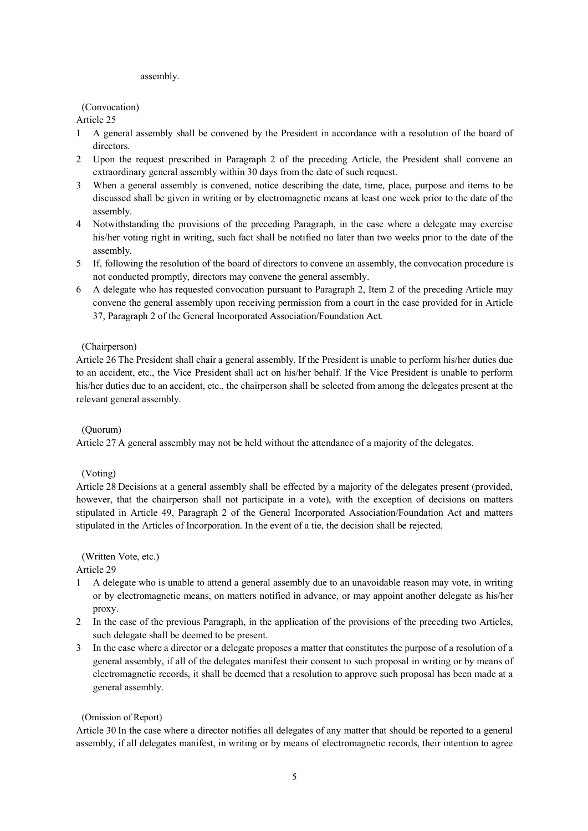#### assembly.

# (Convocation)

Article 25

- 1 A general assembly shall be convened by the President in accordance with a resolution of the board of directors.
- 2 Upon the request prescribed in Paragraph 2 of the preceding Article, the President shall convene an extraordinary general assembly within 30 days from the date of such request.
- 3 When a general assembly is convened, notice describing the date, time, place, purpose and items to be discussed shall be given in writing or by electromagnetic means at least one week prior to the date of the assembly.
- 4 Notwithstanding the provisions of the preceding Paragraph, in the case where a delegate may exercise his/her voting right in writing, such fact shall be notified no later than two weeks prior to the date of the assembly.
- 5 If, following the resolution of the board of directors to convene an assembly, the convocation procedure is not conducted promptly, directors may convene the general assembly.
- 6 A delegate who has requested convocation pursuant to Paragraph 2, Item 2 of the preceding Article may convene the general assembly upon receiving permission from a court in the case provided for in Article 37, Paragraph 2 of the General Incorporated Association/Foundation Act.

# (Chairperson)

Article 26 The President shall chair a general assembly. If the President is unable to perform his/her duties due to an accident, etc., the Vice President shall act on his/her behalf. If the Vice President is unable to perform his/her duties due to an accident, etc., the chairperson shall be selected from among the delegates present at the relevant general assembly.

# (Quorum)

Article 27 A general assembly may not be held without the attendance of a majority of the delegates.

### (Voting)

Article 28 Decisions at a general assembly shall be effected by a majority of the delegates present (provided, however, that the chairperson shall not participate in a vote), with the exception of decisions on matters stipulated in Article 49, Paragraph 2 of the General Incorporated Association/Foundation Act and matters stipulated in the Articles of Incorporation. In the event of a tie, the decision shall be rejected.

(Written Vote, etc.)

Article 29

- 1 A delegate who is unable to attend a general assembly due to an unavoidable reason may vote, in writing or by electromagnetic means, on matters notified in advance, or may appoint another delegate as his/her proxy.
- 2 In the case of the previous Paragraph, in the application of the provisions of the preceding two Articles, such delegate shall be deemed to be present.
- 3 In the case where a director or a delegate proposes a matter that constitutes the purpose of a resolution of a general assembly, if all of the delegates manifest their consent to such proposal in writing or by means of electromagnetic records, it shall be deemed that a resolution to approve such proposal has been made at a general assembly.

### (Omission of Report)

Article 30 In the case where a director notifies all delegates of any matter that should be reported to a general assembly, if all delegates manifest, in writing or by means of electromagnetic records, their intention to agree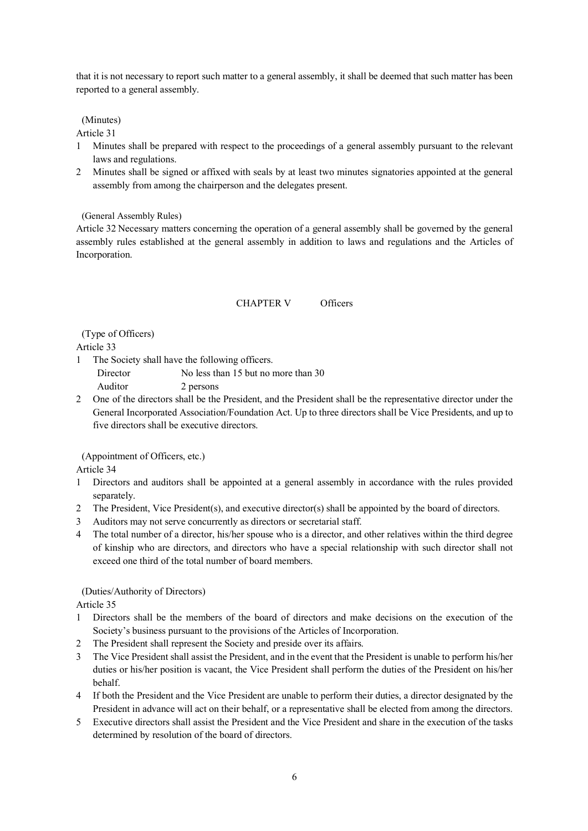that it is not necessary to report such matter to a general assembly, it shall be deemed that such matter has been reported to a general assembly.

# (Minutes)

Article 31

- 1 Minutes shall be prepared with respect to the proceedings of a general assembly pursuant to the relevant laws and regulations.
- 2 Minutes shall be signed or affixed with seals by at least two minutes signatories appointed at the general assembly from among the chairperson and the delegates present.

(General Assembly Rules)

Article 32 Necessary matters concerning the operation of a general assembly shall be governed by the general assembly rules established at the general assembly in addition to laws and regulations and the Articles of Incorporation.

### CHAPTER V Officers

(Type of Officers)

Article 33

- 1 The Society shall have the following officers.
	- Director No less than 15 but no more than 30 Auditor 2 persons
- 2 One of the directors shall be the President, and the President shall be the representative director under the General Incorporated Association/Foundation Act. Up to three directors shall be Vice Presidents, and up to five directors shall be executive directors.

(Appointment of Officers, etc.)

Article 34

- 1 Directors and auditors shall be appointed at a general assembly in accordance with the rules provided separately.
- 2 The President, Vice President(s), and executive director(s) shall be appointed by the board of directors.
- 3 Auditors may not serve concurrently as directors or secretarial staff.
- 4 The total number of a director, his/her spouse who is a director, and other relatives within the third degree of kinship who are directors, and directors who have a special relationship with such director shall not exceed one third of the total number of board members.

(Duties/Authority of Directors)

- 1 Directors shall be the members of the board of directors and make decisions on the execution of the Society's business pursuant to the provisions of the Articles of Incorporation.
- 2 The President shall represent the Society and preside over its affairs.
- 3 The Vice President shall assist the President, and in the event that the President is unable to perform his/her duties or his/her position is vacant, the Vice President shall perform the duties of the President on his/her behalf.
- 4 If both the President and the Vice President are unable to perform their duties, a director designated by the President in advance will act on their behalf, or a representative shall be elected from among the directors.
- 5 Executive directors shall assist the President and the Vice President and share in the execution of the tasks determined by resolution of the board of directors.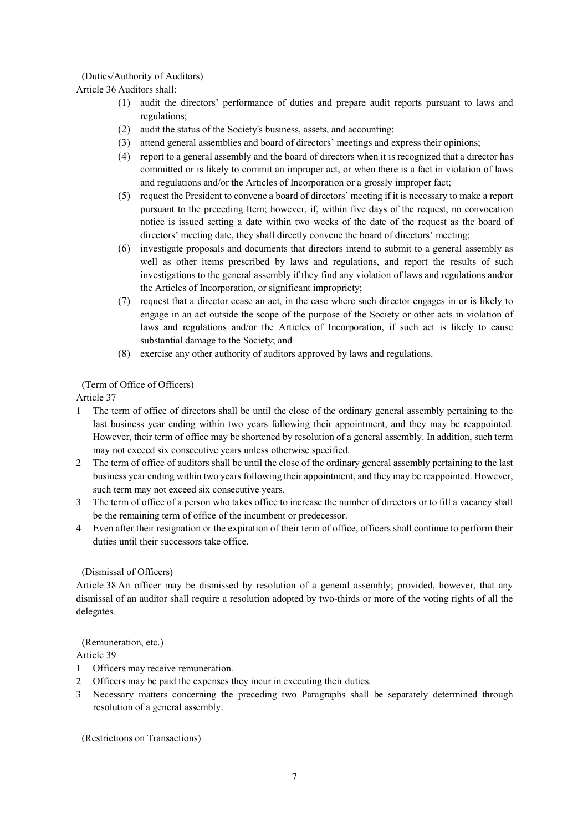# (Duties/Authority of Auditors)

Article 36 Auditors shall:

- (1) audit the directors' performance of duties and prepare audit reports pursuant to laws and regulations;
- (2) audit the status of the Society's business, assets, and accounting;
- (3) attend general assemblies and board of directors' meetings and express their opinions;
- (4) report to a general assembly and the board of directors when it is recognized that a director has committed or is likely to commit an improper act, or when there is a fact in violation of laws and regulations and/or the Articles of Incorporation or a grossly improper fact;
- (5) request the President to convene a board of directors' meeting if it is necessary to make a report pursuant to the preceding Item; however, if, within five days of the request, no convocation notice is issued setting a date within two weeks of the date of the request as the board of directors' meeting date, they shall directly convene the board of directors' meeting;
- (6) investigate proposals and documents that directors intend to submit to a general assembly as well as other items prescribed by laws and regulations, and report the results of such investigations to the general assembly if they find any violation of laws and regulations and/or the Articles of Incorporation, or significant impropriety;
- (7) request that a director cease an act, in the case where such director engages in or is likely to engage in an act outside the scope of the purpose of the Society or other acts in violation of laws and regulations and/or the Articles of Incorporation, if such act is likely to cause substantial damage to the Society; and
- (8) exercise any other authority of auditors approved by laws and regulations.

(Term of Office of Officers)

Article 37

- 1 The term of office of directors shall be until the close of the ordinary general assembly pertaining to the last business year ending within two years following their appointment, and they may be reappointed. However, their term of office may be shortened by resolution of a general assembly. In addition, such term may not exceed six consecutive years unless otherwise specified.
- 2 The term of office of auditors shall be until the close of the ordinary general assembly pertaining to the last business year ending within two years following their appointment, and they may be reappointed. However, such term may not exceed six consecutive years.
- 3 The term of office of a person who takes office to increase the number of directors or to fill a vacancy shall be the remaining term of office of the incumbent or predecessor.
- 4 Even after their resignation or the expiration of their term of office, officers shall continue to perform their duties until their successors take office.

# (Dismissal of Officers)

Article 38 An officer may be dismissed by resolution of a general assembly; provided, however, that any dismissal of an auditor shall require a resolution adopted by two-thirds or more of the voting rights of all the delegates.

(Remuneration, etc.)

# Article 39

- 1 Officers may receive remuneration.
- 2 Officers may be paid the expenses they incur in executing their duties.
- 3 Necessary matters concerning the preceding two Paragraphs shall be separately determined through resolution of a general assembly.

(Restrictions on Transactions)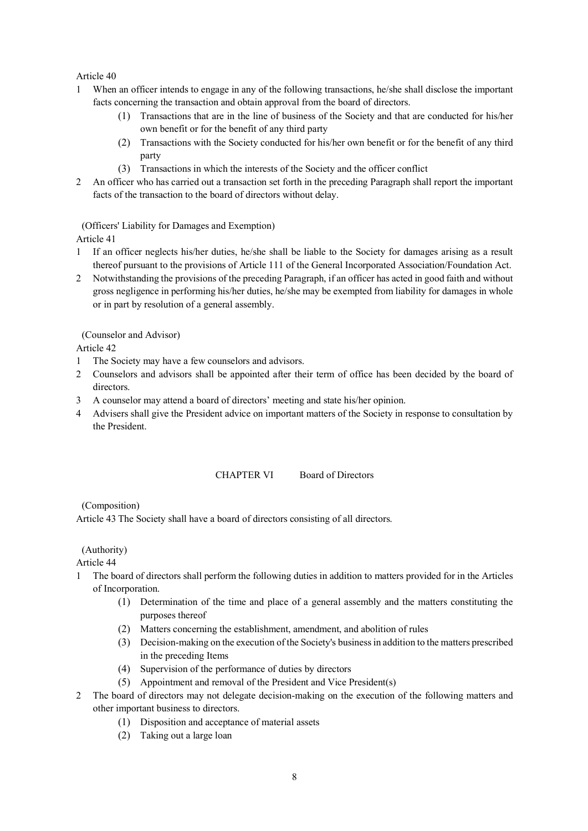# Article 40

- 1 When an officer intends to engage in any of the following transactions, he/she shall disclose the important facts concerning the transaction and obtain approval from the board of directors.
	- (1) Transactions that are in the line of business of the Society and that are conducted for his/her own benefit or for the benefit of any third party
	- (2) Transactions with the Society conducted for his/her own benefit or for the benefit of any third party
	- (3) Transactions in which the interests of the Society and the officer conflict
- 2 An officer who has carried out a transaction set forth in the preceding Paragraph shall report the important facts of the transaction to the board of directors without delay.

(Officers' Liability for Damages and Exemption)

Article 41

- 1 If an officer neglects his/her duties, he/she shall be liable to the Society for damages arising as a result thereof pursuant to the provisions of Article 111 of the General Incorporated Association/Foundation Act.
- 2 Notwithstanding the provisions of the preceding Paragraph, if an officer has acted in good faith and without gross negligence in performing his/her duties, he/she may be exempted from liability for damages in whole or in part by resolution of a general assembly.

(Counselor and Advisor)

Article 42

- 1 The Society may have a few counselors and advisors.
- 2 Counselors and advisors shall be appointed after their term of office has been decided by the board of directors.
- 3 A counselor may attend a board of directors' meeting and state his/her opinion.
- 4 Advisers shall give the President advice on important matters of the Society in response to consultation by the President.

# CHAPTER VI Board of Directors

(Composition)

Article 43 The Society shall have a board of directors consisting of all directors.

(Authority)

- 1 The board of directors shall perform the following duties in addition to matters provided for in the Articles of Incorporation.
	- (1) Determination of the time and place of a general assembly and the matters constituting the purposes thereof
	- (2) Matters concerning the establishment, amendment, and abolition of rules
	- (3) Decision-making on the execution of the Society's business in addition to the matters prescribed in the preceding Items
	- (4) Supervision of the performance of duties by directors
	- (5) Appointment and removal of the President and Vice President(s)
- 2 The board of directors may not delegate decision-making on the execution of the following matters and other important business to directors.
	- (1) Disposition and acceptance of material assets
	- (2) Taking out a large loan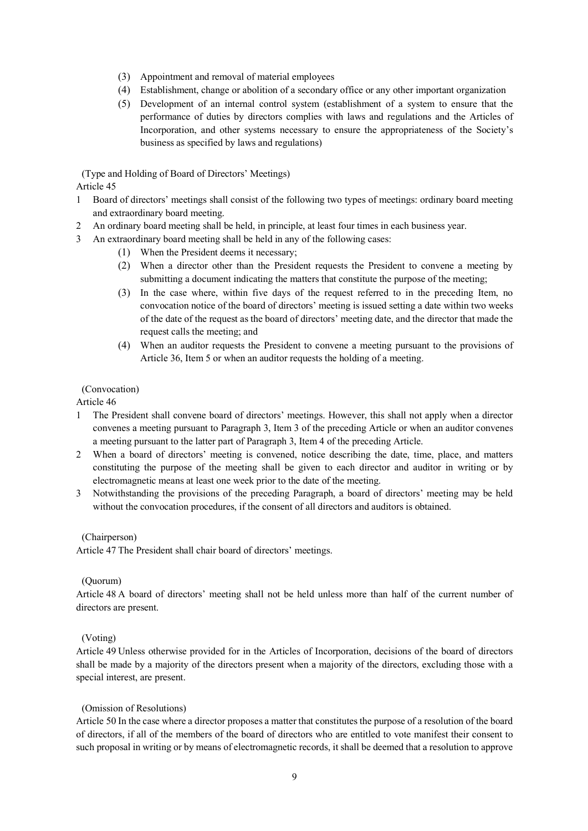- (3) Appointment and removal of material employees
- (4) Establishment, change or abolition of a secondary office or any other important organization
- (5) Development of an internal control system (establishment of a system to ensure that the performance of duties by directors complies with laws and regulations and the Articles of Incorporation, and other systems necessary to ensure the appropriateness of the Society's business as specified by laws and regulations)

(Type and Holding of Board of Directors' Meetings) Article 45

- 1 Board of directors' meetings shall consist of the following two types of meetings: ordinary board meeting and extraordinary board meeting.
- 2 An ordinary board meeting shall be held, in principle, at least four times in each business year.
- 3 An extraordinary board meeting shall be held in any of the following cases:
	- (1) When the President deems it necessary;
	- (2) When a director other than the President requests the President to convene a meeting by submitting a document indicating the matters that constitute the purpose of the meeting;
	- (3) In the case where, within five days of the request referred to in the preceding Item, no convocation notice of the board of directors' meeting is issued setting a date within two weeks of the date of the request as the board of directors' meeting date, and the director that made the request calls the meeting; and
	- (4) When an auditor requests the President to convene a meeting pursuant to the provisions of Article 36, Item 5 or when an auditor requests the holding of a meeting.

### (Convocation)

Article 46

- 1 The President shall convene board of directors' meetings. However, this shall not apply when a director convenes a meeting pursuant to Paragraph 3, Item 3 of the preceding Article or when an auditor convenes a meeting pursuant to the latter part of Paragraph 3, Item 4 of the preceding Article.
- 2 When a board of directors' meeting is convened, notice describing the date, time, place, and matters constituting the purpose of the meeting shall be given to each director and auditor in writing or by electromagnetic means at least one week prior to the date of the meeting.
- 3 Notwithstanding the provisions of the preceding Paragraph, a board of directors' meeting may be held without the convocation procedures, if the consent of all directors and auditors is obtained.

### (Chairperson)

Article 47 The President shall chair board of directors' meetings.

### (Quorum)

Article 48 A board of directors' meeting shall not be held unless more than half of the current number of directors are present.

### (Voting)

Article 49 Unless otherwise provided for in the Articles of Incorporation, decisions of the board of directors shall be made by a majority of the directors present when a majority of the directors, excluding those with a special interest, are present.

### (Omission of Resolutions)

Article 50 In the case where a director proposes a matter that constitutes the purpose of a resolution of the board of directors, if all of the members of the board of directors who are entitled to vote manifest their consent to such proposal in writing or by means of electromagnetic records, it shall be deemed that a resolution to approve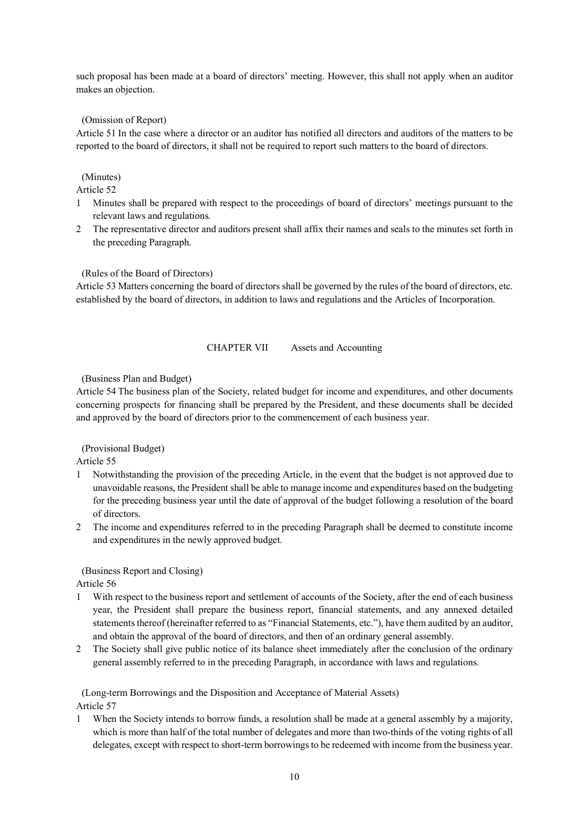such proposal has been made at a board of directors' meeting. However, this shall not apply when an auditor makes an objection.

# (Omission of Report)

Article 51 In the case where a director or an auditor has notified all directors and auditors of the matters to be reported to the board of directors, it shall not be required to report such matters to the board of directors.

# (Minutes)

Article 52

- 1 Minutes shall be prepared with respect to the proceedings of board of directors' meetings pursuant to the relevant laws and regulations.
- 2 The representative director and auditors present shall affix their names and seals to the minutes set forth in the preceding Paragraph.

### (Rules of the Board of Directors)

Article 53 Matters concerning the board of directors shall be governed by the rules of the board of directors, etc. established by the board of directors, in addition to laws and regulations and the Articles of Incorporation.

### CHAPTER VII Assets and Accounting

(Business Plan and Budget)

Article 54 The business plan of the Society, related budget for income and expenditures, and other documents concerning prospects for financing shall be prepared by the President, and these documents shall be decided and approved by the board of directors prior to the commencement of each business year.

### (Provisional Budget)

Article 55

- 1 Notwithstanding the provision of the preceding Article, in the event that the budget is not approved due to unavoidable reasons, the President shall be able to manage income and expenditures based on the budgeting for the preceding business year until the date of approval of the budget following a resolution of the board of directors.
- 2 The income and expenditures referred to in the preceding Paragraph shall be deemed to constitute income and expenditures in the newly approved budget.

# (Business Report and Closing)

Article 56

- 1 With respect to the business report and settlement of accounts of the Society, after the end of each business year, the President shall prepare the business report, financial statements, and any annexed detailed statements thereof (hereinafter referred to as "Financial Statements, etc."), have them audited by an auditor, and obtain the approval of the board of directors, and then of an ordinary general assembly.
- 2 The Society shall give public notice of its balance sheet immediately after the conclusion of the ordinary general assembly referred to in the preceding Paragraph, in accordance with laws and regulations.

(Long-term Borrowings and the Disposition and Acceptance of Material Assets) Article 57

1 When the Society intends to borrow funds, a resolution shall be made at a general assembly by a majority, which is more than half of the total number of delegates and more than two-thirds of the voting rights of all delegates, except with respect to short-term borrowings to be redeemed with income from the business year.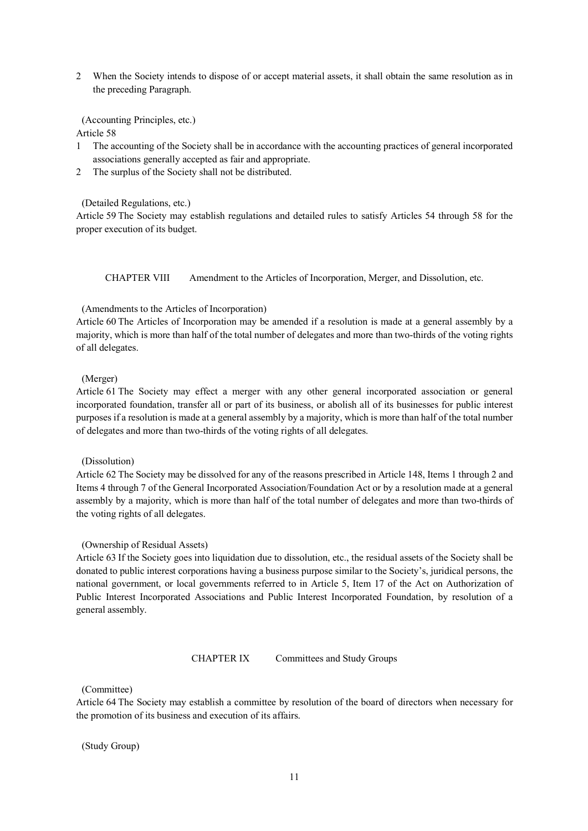2 When the Society intends to dispose of or accept material assets, it shall obtain the same resolution as in the preceding Paragraph.

(Accounting Principles, etc.)

Article 58

- 1 The accounting of the Society shall be in accordance with the accounting practices of general incorporated associations generally accepted as fair and appropriate.
- 2 The surplus of the Society shall not be distributed.

(Detailed Regulations, etc.)

Article 59 The Society may establish regulations and detailed rules to satisfy Articles 54 through 58 for the proper execution of its budget.

CHAPTER VIII Amendment to the Articles of Incorporation, Merger, and Dissolution, etc.

### (Amendments to the Articles of Incorporation)

Article 60 The Articles of Incorporation may be amended if a resolution is made at a general assembly by a majority, which is more than half of the total number of delegates and more than two-thirds of the voting rights of all delegates.

### (Merger)

Article 61 The Society may effect a merger with any other general incorporated association or general incorporated foundation, transfer all or part of its business, or abolish all of its businesses for public interest purposes if a resolution is made at a general assembly by a majority, which is more than half of the total number of delegates and more than two-thirds of the voting rights of all delegates.

### (Dissolution)

Article 62 The Society may be dissolved for any of the reasons prescribed in Article 148, Items 1 through 2 and Items 4 through 7 of the General Incorporated Association/Foundation Act or by a resolution made at a general assembly by a majority, which is more than half of the total number of delegates and more than two-thirds of the voting rights of all delegates.

### (Ownership of Residual Assets)

Article 63 If the Society goes into liquidation due to dissolution, etc., the residual assets of the Society shall be donated to public interest corporations having a business purpose similar to the Society's, juridical persons, the national government, or local governments referred to in Article 5, Item 17 of the Act on Authorization of Public Interest Incorporated Associations and Public Interest Incorporated Foundation, by resolution of a general assembly.

### CHAPTER IX Committees and Study Groups

### (Committee)

Article 64 The Society may establish a committee by resolution of the board of directors when necessary for the promotion of its business and execution of its affairs.

(Study Group)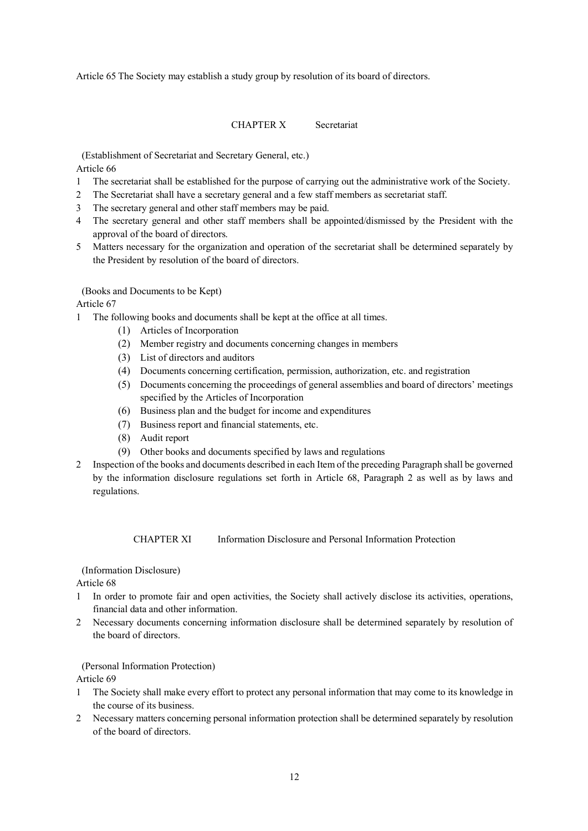Article 65 The Society may establish a study group by resolution of its board of directors.

# CHAPTER X Secretariat

(Establishment of Secretariat and Secretary General, etc.) Article 66

- 1 The secretariat shall be established for the purpose of carrying out the administrative work of the Society.
- 2 The Secretariat shall have a secretary general and a few staff members as secretariat staff.
- 3 The secretary general and other staff members may be paid.
- 4 The secretary general and other staff members shall be appointed/dismissed by the President with the approval of the board of directors.
- 5 Matters necessary for the organization and operation of the secretariat shall be determined separately by the President by resolution of the board of directors.

## (Books and Documents to be Kept)

## Article 67

- 1 The following books and documents shall be kept at the office at all times.
	- (1) Articles of Incorporation
	- (2) Member registry and documents concerning changes in members
	- (3) List of directors and auditors
	- (4) Documents concerning certification, permission, authorization, etc. and registration
	- (5) Documents concerning the proceedings of general assemblies and board of directors' meetings specified by the Articles of Incorporation
	- (6) Business plan and the budget for income and expenditures
	- (7) Business report and financial statements, etc.
	- (8) Audit report
	- (9) Other books and documents specified by laws and regulations
- 2 Inspection of the books and documents described in each Item of the preceding Paragraph shall be governed by the information disclosure regulations set forth in Article 68, Paragraph 2 as well as by laws and regulations.

CHAPTER XI Information Disclosure and Personal Information Protection

### (Information Disclosure)

Article 68

- 1 In order to promote fair and open activities, the Society shall actively disclose its activities, operations, financial data and other information.
- 2 Necessary documents concerning information disclosure shall be determined separately by resolution of the board of directors.

(Personal Information Protection)

- 1 The Society shall make every effort to protect any personal information that may come to its knowledge in the course of its business.
- 2 Necessary matters concerning personal information protection shall be determined separately by resolution of the board of directors.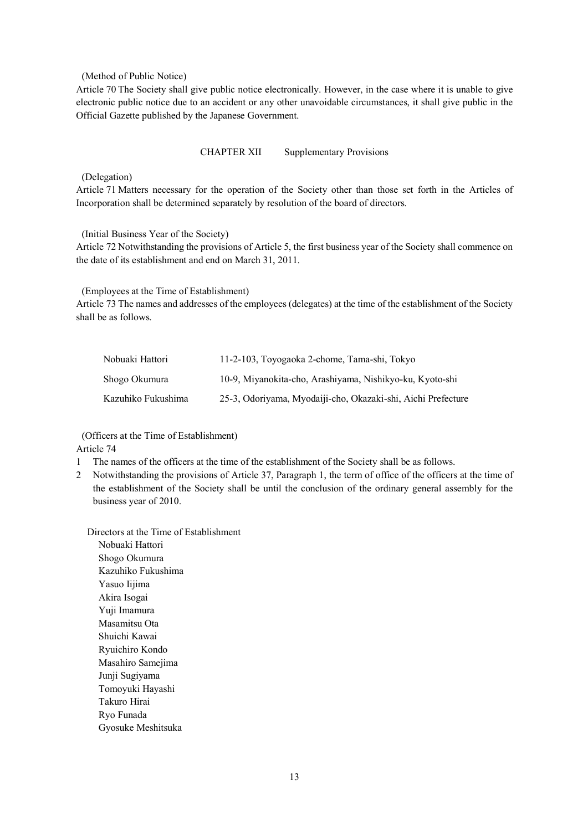#### (Method of Public Notice)

Article 70 The Society shall give public notice electronically. However, in the case where it is unable to give electronic public notice due to an accident or any other unavoidable circumstances, it shall give public in the Official Gazette published by the Japanese Government.

CHAPTER XII Supplementary Provisions

## (Delegation)

Article 71 Matters necessary for the operation of the Society other than those set forth in the Articles of Incorporation shall be determined separately by resolution of the board of directors.

(Initial Business Year of the Society)

Article 72 Notwithstanding the provisions of Article 5, the first business year of the Society shall commence on the date of its establishment and end on March 31, 2011.

(Employees at the Time of Establishment)

Article 73 The names and addresses of the employees (delegates) at the time of the establishment of the Society shall be as follows.

| Nobuaki Hattori    | 11-2-103, Toyogaoka 2-chome, Tama-shi, Tokyo                 |
|--------------------|--------------------------------------------------------------|
| Shogo Okumura      | 10-9, Miyanokita-cho, Arashiyama, Nishikyo-ku, Kyoto-shi     |
| Kazuhiko Fukushima | 25-3, Odoriyama, Myodaiji-cho, Okazaki-shi, Aichi Prefecture |

(Officers at the Time of Establishment) Article 74

1 The names of the officers at the time of the establishment of the Society shall be as follows.

2 Notwithstanding the provisions of Article 37, Paragraph 1, the term of office of the officers at the time of the establishment of the Society shall be until the conclusion of the ordinary general assembly for the business year of 2010.

Directors at the Time of Establishment Nobuaki Hattori Shogo Okumura Kazuhiko Fukushima Yasuo Iijima Akira Isogai Yuji Imamura Masamitsu Ota Shuichi Kawai Ryuichiro Kondo Masahiro Samejima Junji Sugiyama Tomoyuki Hayashi Takuro Hirai Ryo Funada Gyosuke Meshitsuka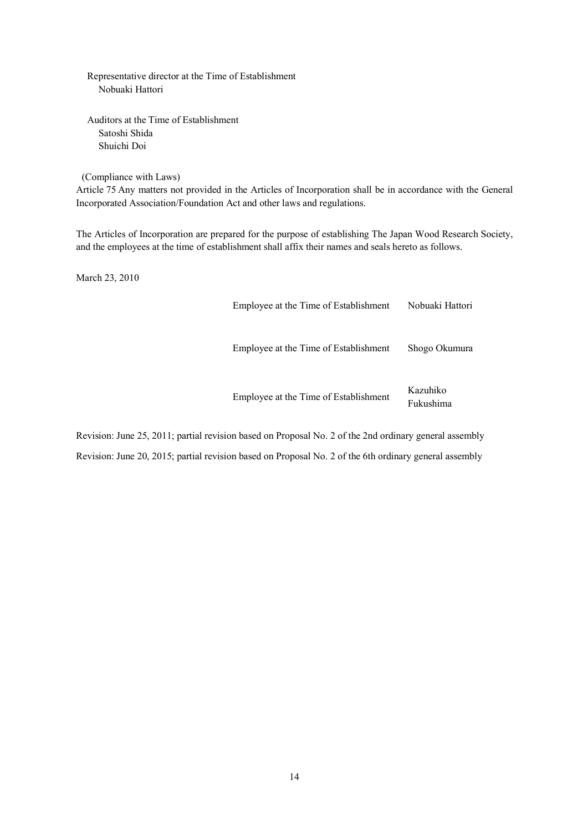Representative director at the Time of Establishment Nobuaki Hattori

Auditors at the Time of Establishment Satoshi Shida Shuichi Doi

(Compliance with Laws)

Article 75 Any matters not provided in the Articles of Incorporation shall be in accordance with the General Incorporated Association/Foundation Act and other laws and regulations.

The Articles of Incorporation are prepared for the purpose of establishing The Japan Wood Research Society, and the employees at the time of establishment shall affix their names and seals hereto as follows.

March 23, 2010

Employee at the Time of Establishment Nobuaki Hattori Employee at the Time of Establishment Shogo Okumura Employee at the Time of Establishment Kazuhiko

Fukushima

Revision: June 25, 2011; partial revision based on Proposal No. 2 of the 2nd ordinary general assembly Revision: June 20, 2015; partial revision based on Proposal No. 2 of the 6th ordinary general assembly